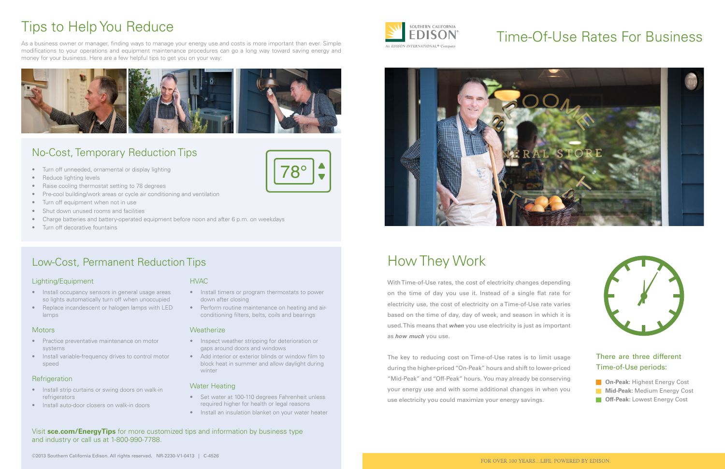# Time-Of-Use Rates For Business



With Time-of-Use rates, the cost of electricity changes depending on the time of day you use it. Instead of a single flat rate for electricity use, the cost of electricity on a Time-of-Use rate varies based on the time of day, day of week, and season in which it is used. This means that *when* you use electricity is just as important as *how much* you use.

The key to reducing cost on Time-of-Use rates is to limit usage during the higher-priced "On-Peak" hours and shift to lower-priced "Mid-Peak" and "Off-Peak" hours. You may already be conserving your energy use and with some additional changes in when you use electricity you could maximize your energy savings.

## How They Work



## There are three different Time-of-Use periods:

## Tips to Help You Reduce

• Perform routine maintenance on heating and airconditioning filters, belts, coils and bearings

### **Weatherize**

As a business owner or manager, finding ways to manage your energy use and costs is more important than ever. Simple modifications to your operations and equipment maintenance procedures can go a long way toward saving energy and money for your business. Here are a few helpful tips to get you on your way:



## No-Cost, Temporary Reduction Tips

- Practice preventative maintenance on motor systems
- Install variable-frequency drives to control motor speed

### **Refrigeration**

- Turn off unneeded, ornamental or display lighting
- Reduce lighting levels
- Raise cooling thermostat setting to 78 degrees
- Pre-cool building/work areas or cycle air conditioning and ventilation
- Turn off equipment when not in use
- Shut down unused rooms and facilities
- Charge batteries and battery-operated equipment before noon and after 6 p.m. on weekdays
- Turn off decorative fountains

## Low-Cost, Permanent Reduction Tips

## HVAC

• Install timers or program thermostats to power down after closing

 $^{\circ}8^{\circ}$ 

- Inspect weather stripping for deterioration or gaps around doors and windows
- Add interior or exterior blinds or window film to block heat in summer and allow daylight during winter

## Water Heating

- Set water at 100-110 degrees Fahrenheit unless required higher for health or legal reasons
- Install an insulation blanket on your water heater

## Lighting/Equipment

- Install occupancy sensors in general usage areas so lights automatically turn off when unoccupied
- Replace incandescent or halogen lamps with LED lamps

### **Motors**

- Install strip curtains or swing doors on walk-in refrigerators
- Install auto-door closers on walk-in doors

Visit **sce.com/EnergyTips** for more customized tips and information by business type and industry or call us at 1-800-990-7788.